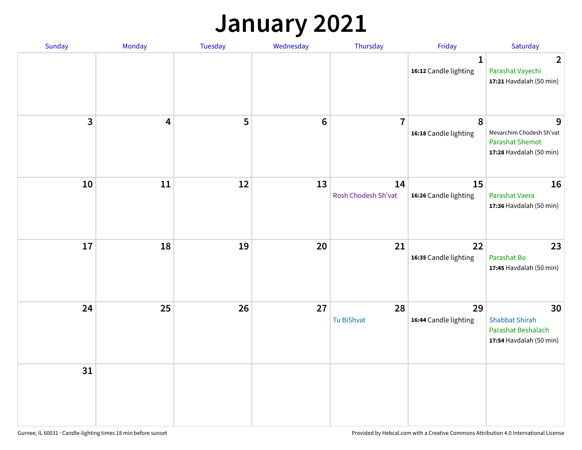## **January 2021**

| Sunday       | Monday                  | Tuesday | Wednesday       | Thursday                  | Friday                                | Saturday                                                                           |
|--------------|-------------------------|---------|-----------------|---------------------------|---------------------------------------|------------------------------------------------------------------------------------|
|              |                         |         |                 |                           | $\mathbf{1}$<br>16:12 Candle lighting | $\overline{2}$<br>Parashat Vayechi<br>17:21 Havdalah (50 min)                      |
| $\mathbf{3}$ | $\overline{\mathbf{4}}$ | 5       | $6\phantom{1}6$ | $\overline{7}$            | 8<br>16:18 Candle lighting            | 9<br>Mevarchim Chodesh Sh'vat<br><b>Parashat Shemot</b><br>17:28 Havdalah (50 min) |
| 10           | 11                      | 12      | 13              | 14<br>Rosh Chodesh Sh'vat | 15<br>16:26 Candle lighting           | 16<br>Parashat Vaera<br>17:36 Havdalah (50 min)                                    |
| 17           | 18                      | 19      | 20              | 21                        | 22<br>16:35 Candle lighting           | 23<br>Parashat Bo<br>17:45 Havdalah (50 min)                                       |
| 24           | 25                      | 26      | 27              | 28<br>Tu BiShvat          | 29<br>16:44 Candle lighting           | 30<br><b>Shabbat Shirah</b><br>Parashat Beshalach<br>17:54 Havdalah (50 min)       |
| 31           |                         |         |                 |                           |                                       |                                                                                    |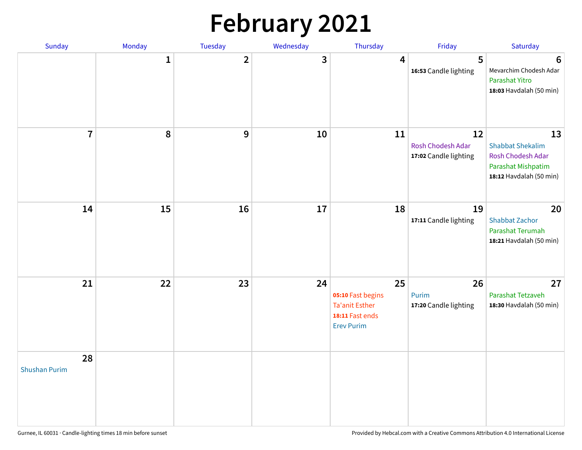# **February 2021**

| Sunday                     | Monday       | <b>Tuesday</b> | Wednesday | Thursday                                                                                 | Friday                                           | Saturday                                                                                            |
|----------------------------|--------------|----------------|-----------|------------------------------------------------------------------------------------------|--------------------------------------------------|-----------------------------------------------------------------------------------------------------|
|                            | $\mathbf{1}$ | $\overline{2}$ | 3         | 4                                                                                        | 5<br>16:53 Candle lighting                       | $6\phantom{1}6$<br>Mevarchim Chodesh Adar<br>Parashat Yitro<br>18:03 Havdalah (50 min)              |
| $\overline{7}$             | $\pmb{8}$    | 9              | 10        | 11                                                                                       | 12<br>Rosh Chodesh Adar<br>17:02 Candle lighting | 13<br><b>Shabbat Shekalim</b><br>Rosh Chodesh Adar<br>Parashat Mishpatim<br>18:12 Havdalah (50 min) |
| 14                         | 15           | 16             | 17        | 18                                                                                       | 19<br>17:11 Candle lighting                      | 20<br><b>Shabbat Zachor</b><br>Parashat Terumah<br>18:21 Havdalah (50 min)                          |
| 21                         | 22           | 23             | 24        | 25<br>05:10 Fast begins<br><b>Ta'anit Esther</b><br>18:11 Fast ends<br><b>Erev Purim</b> | 26<br>Purim<br>17:20 Candle lighting             | 27<br>Parashat Tetzaveh<br>18:30 Havdalah (50 min)                                                  |
| 28<br><b>Shushan Purim</b> |              |                |           |                                                                                          |                                                  |                                                                                                     |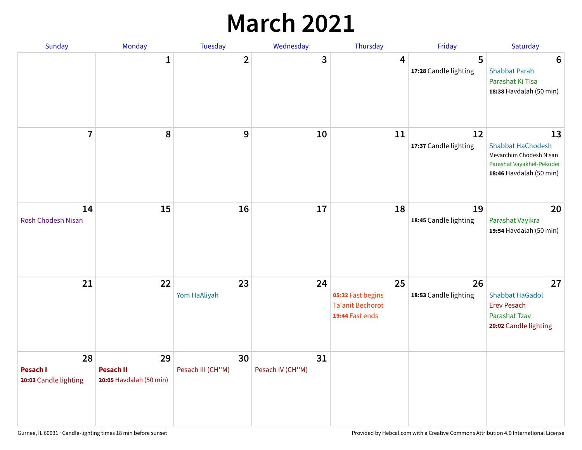## **March 2021**

| Sunday                                  | Monday                                            | Tuesday                 | Wednesday              | Thursday                                                              | Friday                      | Saturday                                                                                                          |
|-----------------------------------------|---------------------------------------------------|-------------------------|------------------------|-----------------------------------------------------------------------|-----------------------------|-------------------------------------------------------------------------------------------------------------------|
|                                         | 1                                                 | $\overline{\mathbf{2}}$ | 3                      | 4                                                                     | 5<br>17:28 Candle lighting  | $6\phantom{1}6$<br><b>Shabbat Parah</b><br>Parashat Ki Tisa<br>18:38 Havdalah (50 min)                            |
| $\overline{7}$                          | 8                                                 | 9                       | 10                     | 11                                                                    | 12<br>17:37 Candle lighting | 13<br><b>Shabbat HaChodesh</b><br>Mevarchim Chodesh Nisan<br>Parashat Vayakhel-Pekudei<br>18:46 Havdalah (50 min) |
| 14<br><b>Rosh Chodesh Nisan</b>         | 15                                                | 16                      | 17                     | 18                                                                    | 19<br>18:45 Candle lighting | 20<br>Parashat Vayikra<br>19:54 Havdalah (50 min)                                                                 |
| 21                                      | 22                                                | 23<br>Yom HaAliyah      | 24                     | 25<br>05:22 Fast begins<br><b>Ta'anit Bechorot</b><br>19:44 Fast ends | 26<br>18:53 Candle lighting | 27<br><b>Shabbat HaGadol</b><br><b>Erev Pesach</b><br>Parashat Tzav<br>20:02 Candle lighting                      |
| 28<br>Pesach I<br>20:03 Candle lighting | 29<br><b>Pesach II</b><br>20:05 Havdalah (50 min) | 30<br>Pesach III (CH"M) | 31<br>Pesach IV (CH"M) |                                                                       |                             |                                                                                                                   |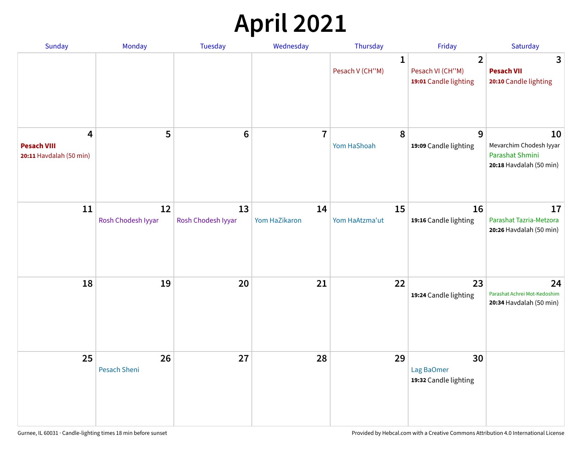# **April 2021**

| Sunday                                             | Monday                    | <b>Tuesday</b>           | Wednesday           | Thursday                        | Friday                                                      | Saturday                                                                    |
|----------------------------------------------------|---------------------------|--------------------------|---------------------|---------------------------------|-------------------------------------------------------------|-----------------------------------------------------------------------------|
|                                                    |                           |                          |                     | $\mathbf{1}$<br>Pesach V (CH"M) | $\overline{2}$<br>Pesach VI (CH"M)<br>19:01 Candle lighting | 3<br><b>Pesach VII</b><br>20:10 Candle lighting                             |
| 4<br><b>Pesach VIII</b><br>20:11 Havdalah (50 min) | 5                         | $6\phantom{1}6$          | $\overline{7}$      | 8<br>Yom HaShoah                | 9<br>19:09 Candle lighting                                  | 10<br>Mevarchim Chodesh Iyyar<br>Parashat Shmini<br>20:18 Havdalah (50 min) |
| 11                                                 | 12<br>Rosh Chodesh Iyyar  | 13<br>Rosh Chodesh Iyyar | 14<br>Yom HaZikaron | 15<br>Yom HaAtzma'ut            | 16<br>19:16 Candle lighting                                 | 17<br>Parashat Tazria-Metzora<br>20:26 Havdalah (50 min)                    |
| 18                                                 | 19                        | 20                       | 21                  | 22                              | 23<br>19:24 Candle lighting                                 | 24<br>Parashat Achrei Mot-Kedoshim<br>20:34 Havdalah (50 min)               |
| 25                                                 | 26<br><b>Pesach Sheni</b> | 27                       | 28                  | 29                              | 30<br>Lag BaOmer<br>19:32 Candle lighting                   |                                                                             |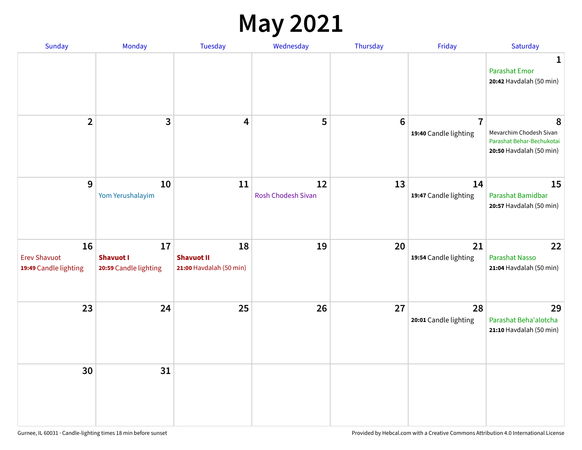## **May 2021**

| Sunday                                             | Monday                                          | Tuesday                                            | Wednesday                       | Thursday       | Friday                                  | Saturday                                                                             |
|----------------------------------------------------|-------------------------------------------------|----------------------------------------------------|---------------------------------|----------------|-----------------------------------------|--------------------------------------------------------------------------------------|
|                                                    |                                                 |                                                    |                                 |                |                                         | 1<br><b>Parashat Emor</b><br>20:42 Havdalah (50 min)                                 |
| $\overline{2}$                                     | $\mathbf{3}$                                    | 4                                                  | 5                               | $6\phantom{1}$ | $\overline{7}$<br>19:40 Candle lighting | 8<br>Mevarchim Chodesh Sivan<br>Parashat Behar-Bechukotai<br>20:50 Havdalah (50 min) |
| $9$                                                | 10<br>Yom Yerushalayim                          | 11                                                 | 12<br><b>Rosh Chodesh Sivan</b> | 13             | 14<br>19:47 Candle lighting             | 15<br>Parashat Bamidbar<br>20:57 Havdalah (50 min)                                   |
| 16<br><b>Erev Shavuot</b><br>19:49 Candle lighting | 17<br><b>Shavuot I</b><br>20:59 Candle lighting | 18<br><b>Shavuot II</b><br>21:00 Havdalah (50 min) | 19                              | 20             | 21<br>19:54 Candle lighting             | 22<br><b>Parashat Nasso</b><br>21:04 Havdalah (50 min)                               |
| 23                                                 | 24                                              | 25                                                 | 26                              | 27             | 28<br>20:01 Candle lighting             | 29<br>Parashat Beha'alotcha<br>21:10 Havdalah (50 min)                               |
| 30                                                 | 31                                              |                                                    |                                 |                |                                         |                                                                                      |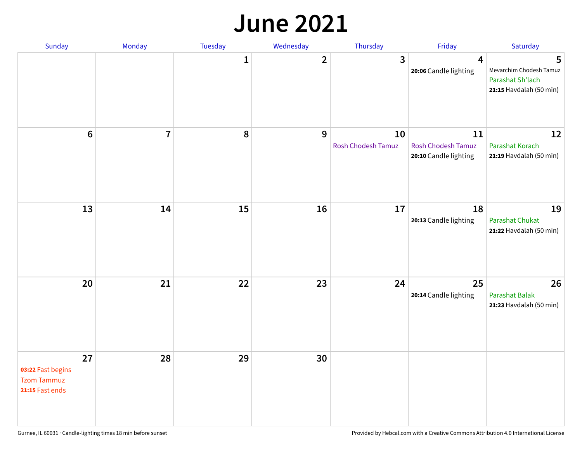#### **June 2021**

| Sunday                                                           | Monday         | Tuesday      | Wednesday    | Thursday                        | Friday                                                   | Saturday                                                                    |
|------------------------------------------------------------------|----------------|--------------|--------------|---------------------------------|----------------------------------------------------------|-----------------------------------------------------------------------------|
|                                                                  |                | $\mathbf{1}$ | $\mathbf{2}$ | 3                               | 4<br>20:06 Candle lighting                               | 5<br>Mevarchim Chodesh Tamuz<br>Parashat Sh'lach<br>21:15 Havdalah (50 min) |
| $6\phantom{1}$                                                   | $\overline{7}$ | 8            | 9            | 10<br><b>Rosh Chodesh Tamuz</b> | 11<br><b>Rosh Chodesh Tamuz</b><br>20:10 Candle lighting | 12<br>Parashat Korach<br>21:19 Havdalah (50 min)                            |
| 13                                                               | 14             | 15           | 16           | 17                              | 18<br>20:13 Candle lighting                              | 19<br>Parashat Chukat<br>21:22 Havdalah (50 min)                            |
| 20                                                               | 21             | 22           | 23           | 24                              | 25<br>20:14 Candle lighting                              | 26<br><b>Parashat Balak</b><br>21:23 Havdalah (50 min)                      |
| 27<br>03:22 Fast begins<br><b>Tzom Tammuz</b><br>21:15 Fast ends | 28             | 29           | 30           |                                 |                                                          |                                                                             |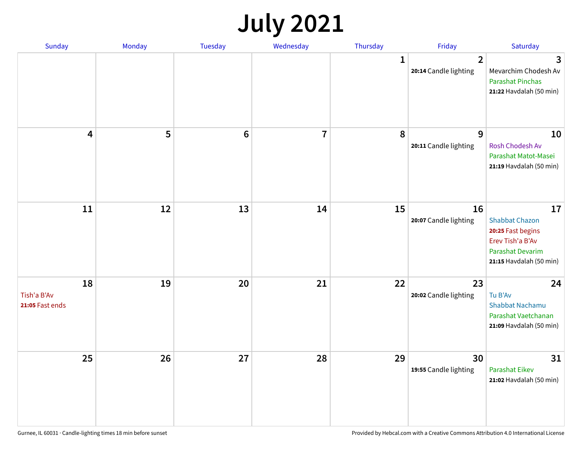## **July 2021**

| Sunday                               | Monday | <b>Tuesday</b> | Wednesday               | Thursday     | Friday                                  | Saturday                                                                                                                   |
|--------------------------------------|--------|----------------|-------------------------|--------------|-----------------------------------------|----------------------------------------------------------------------------------------------------------------------------|
|                                      |        |                |                         | $\mathbf{1}$ | $\overline{2}$<br>20:14 Candle lighting | 3<br>Mevarchim Chodesh Av<br><b>Parashat Pinchas</b><br>21:22 Havdalah (50 min)                                            |
| 4                                    | 5      | $\bf 6$        | $\overline{\mathbf{I}}$ | 8            | 9<br>20:11 Candle lighting              | 10<br>Rosh Chodesh Av<br>Parashat Matot-Masei<br>21:19 Havdalah (50 min)                                                   |
| ${\bf 11}$                           | 12     | 13             | 14                      | 15           | 16<br>20:07 Candle lighting             | 17<br><b>Shabbat Chazon</b><br>20:25 Fast begins<br>Erev Tish'a B'Av<br><b>Parashat Devarim</b><br>21:15 Havdalah (50 min) |
| 18<br>Tish'a B'Av<br>21:05 Fast ends | 19     | 20             | 21                      | 22           | 23<br>20:02 Candle lighting             | 24<br>Tu B'Av<br><b>Shabbat Nachamu</b><br>Parashat Vaetchanan<br>21:09 Havdalah (50 min)                                  |
| 25                                   | 26     | 27             | 28                      | 29           | 30<br>19:55 Candle lighting             | 31<br>Parashat Eikev<br>21:02 Havdalah (50 min)                                                                            |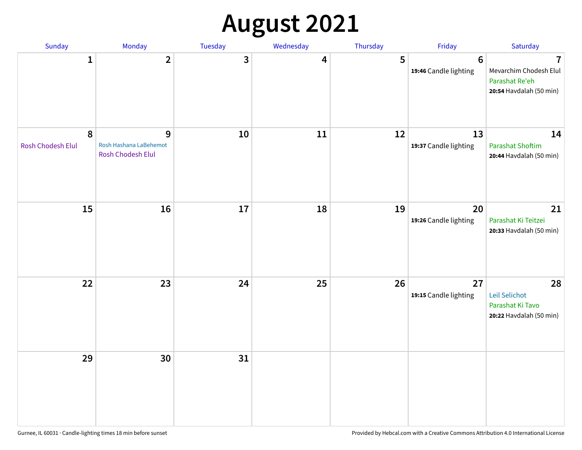# **August 2021**

| Sunday                 | Monday                                           | Tuesday | Wednesday | Thursday | Friday                                   | Saturday                                                                              |
|------------------------|--------------------------------------------------|---------|-----------|----------|------------------------------------------|---------------------------------------------------------------------------------------|
| $\mathbf{1}$           | $\overline{2}$                                   | 3       | 4         | 5        | $6\phantom{1}6$<br>19:46 Candle lighting | $\overline{1}$<br>Mevarchim Chodesh Elul<br>Parashat Re'eh<br>20:54 Havdalah (50 min) |
| 8<br>Rosh Chodesh Elul | 9<br>Rosh Hashana LaBehemot<br>Rosh Chodesh Elul | 10      | 11        | 12       | 13<br>19:37 Candle lighting              | 14<br><b>Parashat Shoftim</b><br>20:44 Havdalah (50 min)                              |
| 15                     | 16                                               | 17      | 18        | 19       | 20<br>19:26 Candle lighting              | 21<br>Parashat Ki Teitzei<br>20:33 Havdalah (50 min)                                  |
| 22                     | 23                                               | 24      | 25        | 26       | 27<br>19:15 Candle lighting              | 28<br>Leil Selichot<br>Parashat Ki Tavo<br>20:22 Havdalah (50 min)                    |
| 29                     | 30                                               | 31      |           |          |                                          |                                                                                       |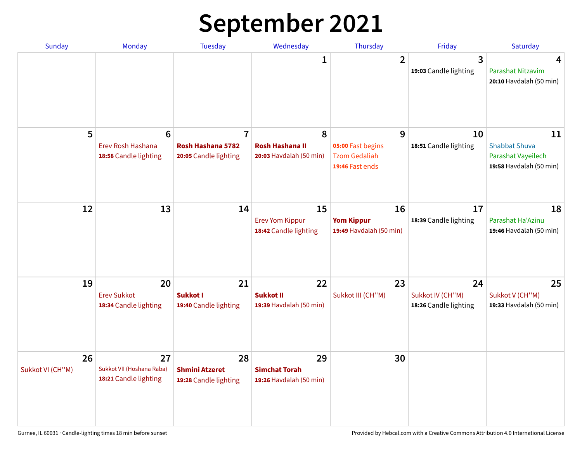# **September 2021**

| <b>Sunday</b>          | <b>Monday</b>                                                 | <b>Tuesday</b>                                               | Wednesday                                              | Thursday                                                          | Friday                                          | Saturday                                                                    |
|------------------------|---------------------------------------------------------------|--------------------------------------------------------------|--------------------------------------------------------|-------------------------------------------------------------------|-------------------------------------------------|-----------------------------------------------------------------------------|
|                        |                                                               |                                                              | 1                                                      | $\overline{2}$                                                    | 3<br>19:03 Candle lighting                      | 4<br>Parashat Nitzavim<br>20:10 Havdalah (50 min)                           |
| 5                      | $6\phantom{1}6$<br>Erev Rosh Hashana<br>18:58 Candle lighting | $\overline{7}$<br>Rosh Hashana 5782<br>20:05 Candle lighting | 8<br><b>Rosh Hashana II</b><br>20:03 Havdalah (50 min) | 9<br>05:00 Fast begins<br><b>Tzom Gedaliah</b><br>19:46 Fast ends | 10<br>18:51 Candle lighting                     | 11<br><b>Shabbat Shuva</b><br>Parashat Vayeilech<br>19:58 Havdalah (50 min) |
| 12                     | 13                                                            | 14                                                           | 15<br><b>Erev Yom Kippur</b><br>18:42 Candle lighting  | 16<br><b>Yom Kippur</b><br>19:49 Havdalah (50 min)                | 17<br>18:39 Candle lighting                     | 18<br>Parashat Ha'Azinu<br>19:46 Havdalah (50 min)                          |
| 19                     | 20<br><b>Erev Sukkot</b><br>18:34 Candle lighting             | 21<br><b>Sukkot I</b><br>19:40 Candle lighting               | 22<br><b>Sukkot II</b><br>19:39 Havdalah (50 min)      | 23<br>Sukkot III (CH"M)                                           | 24<br>Sukkot IV (CH"M)<br>18:26 Candle lighting | 25<br>Sukkot V (CH"M)<br>19:33 Havdalah (50 min)                            |
| 26<br>Sukkot VI (CH"M) | 27<br>Sukkot VII (Hoshana Raba)<br>18:21 Candle lighting      | 28<br><b>Shmini Atzeret</b><br>19:28 Candle lighting         | 29<br><b>Simchat Torah</b><br>19:26 Havdalah (50 min)  | 30                                                                |                                                 |                                                                             |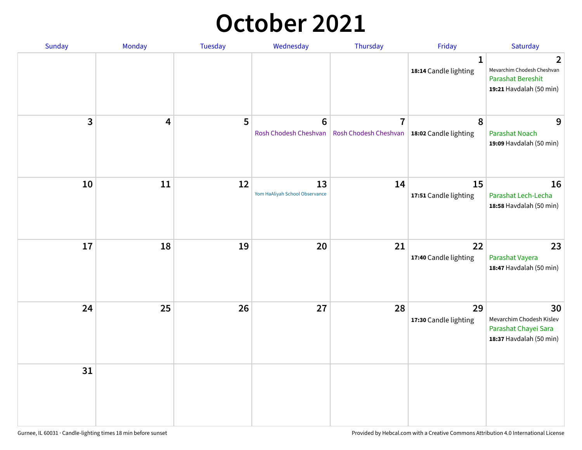## **October 2021**

| Sunday | Monday | Tuesday | Wednesday                                | Thursday                                                        | Friday                                | Saturday                                                                               |
|--------|--------|---------|------------------------------------------|-----------------------------------------------------------------|---------------------------------------|----------------------------------------------------------------------------------------|
|        |        |         |                                          |                                                                 | $\mathbf{1}$<br>18:14 Candle lighting | 2<br>Mevarchim Chodesh Cheshvan<br><b>Parashat Bereshit</b><br>19:21 Havdalah (50 min) |
| 3      | 4      | 5       | $6\phantom{1}6$<br>Rosh Chodesh Cheshvan | $\overline{7}$<br>Rosh Chodesh Cheshvan   18:02 Candle lighting | 8                                     | 9<br><b>Parashat Noach</b><br>19:09 Havdalah (50 min)                                  |
| 10     | 11     | 12      | 13<br>Yom HaAliyah School Observance     | 14                                                              | 15<br>17:51 Candle lighting           | 16<br>Parashat Lech-Lecha<br>18:58 Havdalah (50 min)                                   |
| 17     | 18     | 19      | 20                                       | 21                                                              | 22<br>17:40 Candle lighting           | 23<br>Parashat Vayera<br>18:47 Havdalah (50 min)                                       |
| 24     | 25     | 26      | 27                                       | 28                                                              | 29<br>17:30 Candle lighting           | 30<br>Mevarchim Chodesh Kislev<br>Parashat Chayei Sara<br>18:37 Havdalah (50 min)      |
| 31     |        |         |                                          |                                                                 |                                       |                                                                                        |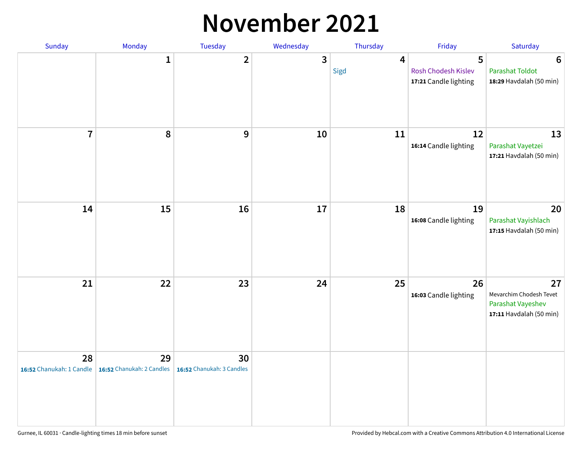#### **November 2021**

| Sunday         | Monday                                                   | Tuesday                         | Wednesday    | Thursday               | Friday                                            | Saturday                                                                      |
|----------------|----------------------------------------------------------|---------------------------------|--------------|------------------------|---------------------------------------------------|-------------------------------------------------------------------------------|
|                | $\mathbf{1}$                                             | $\mathbf{2}$                    | $\mathbf{3}$ | $\overline{4}$<br>Sigd | 5<br>Rosh Chodesh Kislev<br>17:21 Candle lighting | $6\phantom{1}6$<br><b>Parashat Toldot</b><br>18:29 Havdalah (50 min)          |
| $\overline{7}$ | 8                                                        | 9                               | 10           | 11                     | 12<br>16:14 Candle lighting                       | 13<br>Parashat Vayetzei<br>17:21 Havdalah (50 min)                            |
| 14             | 15                                                       | 16                              | 17           | 18                     | 19<br>16:08 Candle lighting                       | 20<br>Parashat Vayishlach<br>17:15 Havdalah (50 min)                          |
| 21             | 22                                                       | 23                              | 24           | 25                     | 26<br>16:03 Candle lighting                       | 27<br>Mevarchim Chodesh Tevet<br>Parashat Vayeshev<br>17:11 Havdalah (50 min) |
| 28             | 29<br>16:52 Chanukah: 1 Candle 16:52 Chanukah: 2 Candles | 30<br>16:52 Chanukah: 3 Candles |              |                        |                                                   |                                                                               |